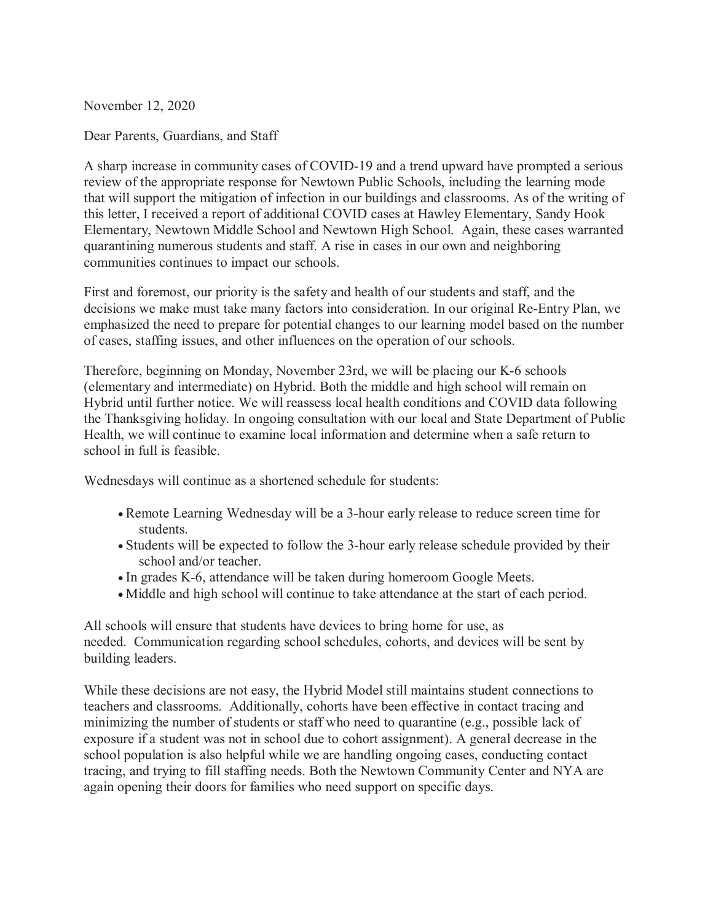November 12, 2020

Dear Parents, Guardians, and Staff

A sharp increase in community cases of COVID-19 and a trend upward have prompted a serious review of the appropriate response for Newtown Public Schools, including the learning mode that will support the mitigation of infection in our buildings and classrooms. As of the writing of this letter, I received a report of additional COVID cases at Hawley Elementary, Sandy Hook Elementary, Newtown Middle School and Newtown High School. Again, these cases warranted quarantining numerous students and staff. A rise in cases in our own and neighboring communities continues to impact our schools.

First and foremost, our priority is the safety and health of our students and staff, and the decisions we make must take many factors into consideration. In our original Re-Entry Plan, we emphasized the need to prepare for potential changes to our learning model based on the number of cases, staffing issues, and other influences on the operation of our schools.

Therefore, beginning on Monday, November 23rd, we will be placing our K-6 schools (elementary and intermediate) on Hybrid. Both the middle and high school will remain on Hybrid until further notice. We will reassess local health conditions and COVID data following the Thanksgiving holiday. In ongoing consultation with our local and State Department of Public Health, we will continue to examine local information and determine when a safe return to school in full is feasible.

Wednesdays will continue as a shortened schedule for students:

- Remote Learning Wednesday will be a 3-hour early release to reduce screen time for students.
- Students will be expected to follow the 3-hour early release schedule provided by their school and/or teacher.
- In grades K-6, attendance will be taken during homeroom Google Meets.
- Middle and high school will continue to take attendance at the start of each period.

All schools will ensure that students have devices to bring home for use, as needed. Communication regarding school schedules, cohorts, and devices will be sent by building leaders.

While these decisions are not easy, the Hybrid Model still maintains student connections to teachers and classrooms. Additionally, cohorts have been effective in contact tracing and minimizing the number of students or staff who need to quarantine (e.g., possible lack of exposure if a student was not in school due to cohort assignment). A general decrease in the school population is also helpful while we are handling ongoing cases, conducting contact tracing, and trying to fill staffing needs. Both the Newtown Community Center and NYA are again opening their doors for families who need support on specific days.